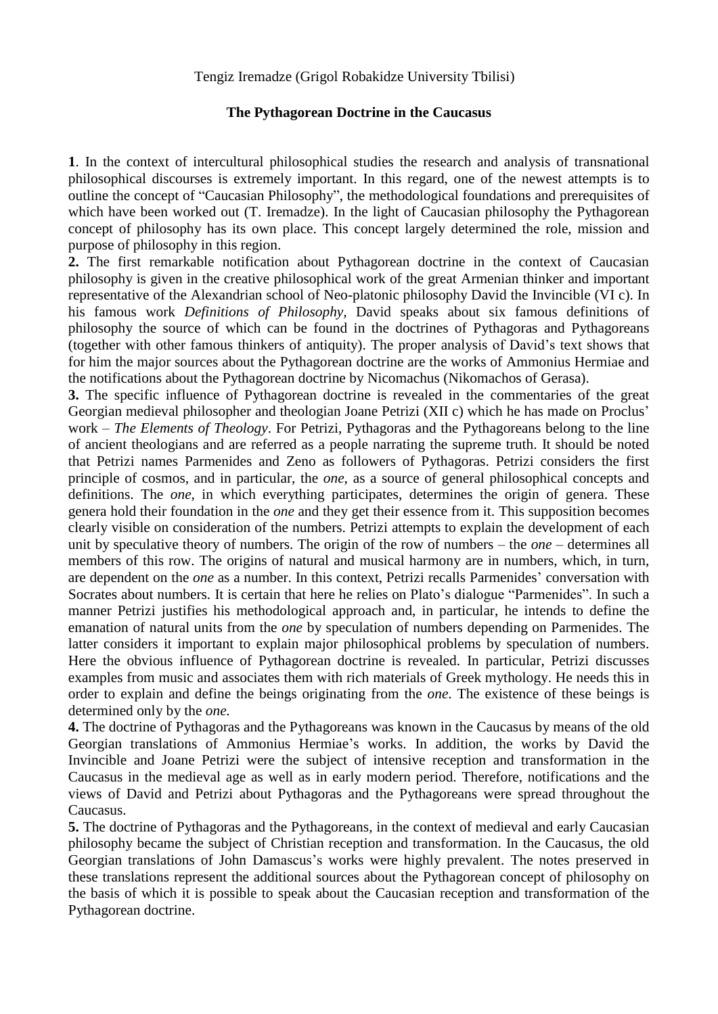## **The Pythagorean Doctrine in the Caucasus**

**1**. In the context of intercultural philosophical studies the research and analysis of transnational philosophical discourses is extremely important. In this regard, one of the newest attempts is to outline the concept of "Caucasian Philosophy", the methodological foundations and prerequisites of which have been worked out (T. Iremadze). In the light of Caucasian philosophy the Pythagorean concept of philosophy has its own place. This concept largely determined the role, mission and purpose of philosophy in this region.

**2.** The first remarkable notification about Pythagorean doctrine in the context of Caucasian philosophy is given in the creative philosophical work of the great Armenian thinker and important representative of the Alexandrian school of Neo-platonic philosophy David the Invincible (VI c). In his famous work *Definitions of Philosophy,* David speaks about six famous definitions of philosophy the source of which can be found in the doctrines of Pythagoras and Pythagoreans (together with other famous thinkers of antiquity). The proper analysis of David's text shows that for him the major sources about the Pythagorean doctrine are the works of Ammonius Hermiae and the notifications about the Pythagorean doctrine by Nicomachus (Nikomachos of Gerasa).

**3.** The specific influence of Pythagorean doctrine is revealed in the commentaries of the great Georgian medieval philosopher and theologian Joane Petrizi (XII c) which he has made on Proclus' work – *The Elements of Theology*. For Petrizi, Pythagoras and the Pythagoreans belong to the line of ancient theologians and are referred as a people narrating the supreme truth. It should be noted that Petrizi names Parmenides and Zeno as followers of Pythagoras. Petrizi considers the first principle of cosmos, and in particular, the *one*, as a source of general philosophical concepts and definitions. The *one,* in which everything participates, determines the origin of genera. These genera hold their foundation in the *one* and they get their essence from it. This supposition becomes clearly visible on consideration of the numbers. Petrizi attempts to explain the development of each unit by speculative theory of numbers. The origin of the row of numbers – the *one* – determines all members of this row. The origins of natural and musical harmony are in numbers, which, in turn, are dependent on the *one* as a number. In this context, Petrizi recalls Parmenides' conversation with Socrates about numbers. It is certain that here he relies on Plato's dialogue "Parmenides". In such a manner Petrizi justifies his methodological approach and, in particular, he intends to define the emanation of natural units from the *one* by speculation of numbers depending on Parmenides. The latter considers it important to explain major philosophical problems by speculation of numbers. Here the obvious influence of Pythagorean doctrine is revealed. In particular, Petrizi discusses examples from music and associates them with rich materials of Greek mythology. He needs this in order to explain and define the beings originating from the *one*. The existence of these beings is determined only by the *one.* 

**4.** The doctrine of Pythagoras and the Pythagoreans was known in the Caucasus by means of the old Georgian translations of Ammonius Hermiae's works. In addition, the works by David the Invincible and Joane Petrizi were the subject of intensive reception and transformation in the Caucasus in the medieval age as well as in early modern period. Therefore, notifications and the views of David and Petrizi about Pythagoras and the Pythagoreans were spread throughout the Caucasus.

**5.** The doctrine of Pythagoras and the Pythagoreans, in the context of medieval and early Caucasian philosophy became the subject of Christian reception and transformation. In the Caucasus, the old Georgian translations of John Damascus's works were highly prevalent. The notes preserved in these translations represent the additional sources about the Pythagorean concept of philosophy on the basis of which it is possible to speak about the Caucasian reception and transformation of the Pythagorean doctrine.